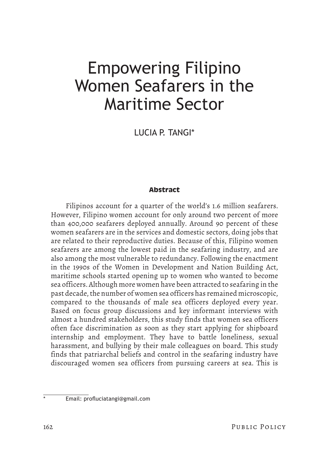LUCIA P. TANGI\*

## **Abstract**

Filipinos account for a quarter of the world's 1.6 million seafarers. However, Filipino women account for only around two percent of more than 400,000 seafarers deployed annually. Around 90 percent of these women seafarers are in the services and domestic sectors, doing jobs that are related to their reproductive duties. Because of this, Filipino women seafarers are among the lowest paid in the seafaring industry, and are also among the most vulnerable to redundancy. Following the enactment in the 1990s of the Women in Development and Nation Building Act, maritime schools started opening up to women who wanted to become sea officers. Although more women have been attracted to seafaring in the past decade, the number of women sea officers has remained microscopic, compared to the thousands of male sea officers deployed every year. Based on focus group discussions and key informant interviews with almost a hundred stakeholders, this study finds that women sea officers often face discrimination as soon as they start applying for shipboard internship and employment. They have to battle loneliness, sexual harassment, and bullying by their male colleagues on board. This study finds that patriarchal beliefs and control in the seafaring industry have discouraged women sea officers from pursuing careers at sea. This is

Email: profluciatangi@gmail.com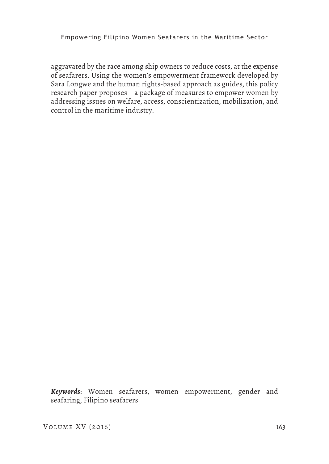aggravated by the race among ship owners to reduce costs, at the expense of seafarers. Using the women's empowerment framework developed by Sara Longwe and the human rights-based approach as guides, this policy research paper proposes a package of measures to empower women by addressing issues on welfare, access, conscientization, mobilization, and control in the maritime industry.

*Keywords*: Women seafarers, women empowerment, gender and seafaring, Filipino seafarers

VOLUME XV (2016) 163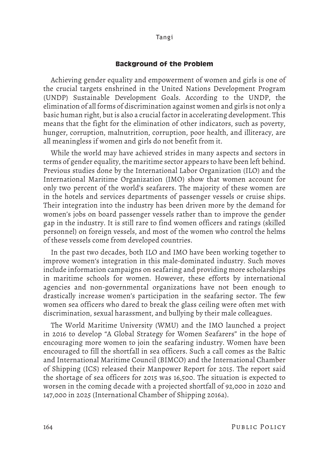#### **Background of the Problem**

Achieving gender equality and empowerment of women and girls is one of the crucial targets enshrined in the United Nations Development Program (UNDP) Sustainable Development Goals. According to the UNDP, the elimination of all forms of discrimination against women and girls is not only a basic human right, but is also a crucial factor in accelerating development. This means that the fight for the elimination of other indicators, such as poverty, hunger, corruption, malnutrition, corruption, poor health, and illiteracy, are all meaningless if women and girls do not benefit from it.

While the world may have achieved strides in many aspects and sectors in terms of gender equality, the maritime sector appears to have been left behind. Previous studies done by the International Labor Organization (ILO) and the International Maritime Organization (IMO) show that women account for only two percent of the world's seafarers. The majority of these women are in the hotels and services departments of passenger vessels or cruise ships. Their integration into the industry has been driven more by the demand for women's jobs on board passenger vessels rather than to improve the gender gap in the industry. It is still rare to find women officers and ratings (skilled personnel) on foreign vessels, and most of the women who control the helms of these vessels come from developed countries.

In the past two decades, both ILO and IMO have been working together to improve women's integration in this male-dominated industry. Such moves include information campaigns on seafaring and providing more scholarships in maritime schools for women. However, these efforts by international agencies and non-governmental organizations have not been enough to drastically increase women's participation in the seafaring sector. The few women sea officers who dared to break the glass ceiling were often met with discrimination, sexual harassment, and bullying by their male colleagues.

The World Maritime University (WMU) and the IMO launched a project in 2016 to develop "A Global Strategy for Women Seafarers" in the hope of encouraging more women to join the seafaring industry. Women have been encouraged to fill the shortfall in sea officers. Such a call comes as the Baltic and International Maritime Council (BIMCO) and the International Chamber of Shipping (ICS) released their Manpower Report for 2015. The report said the shortage of sea officers for 2015 was 16,500. The situation is expected to worsen in the coming decade with a projected shortfall of 92,000 in 2020 and 147,000 in 2025 (International Chamber of Shipping 2016a).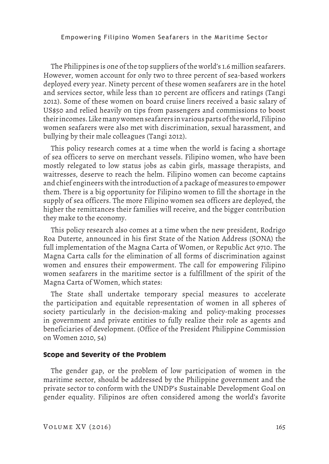The Philippines is one of the top suppliers of the world's 1.6 million seafarers. However, women account for only two to three percent of sea-based workers deployed every year. Ninety percent of these women seafarers are in the hotel and services sector, while less than 10 percent are officers and ratings (Tangi 2012). Some of these women on board cruise liners received a basic salary of US\$50 and relied heavily on tips from passengers and commissions to boost their incomes. Like many women seafarers in various parts of the world, Filipino women seafarers were also met with discrimination, sexual harassment, and bullying by their male colleagues (Tangi 2012).

This policy research comes at a time when the world is facing a shortage of sea officers to serve on merchant vessels. Filipino women, who have been mostly relegated to low status jobs as cabin girls, massage therapists, and waitresses, deserve to reach the helm. Filipino women can become captains and chief engineers with the introduction of a package of measures to empower them. There is a big opportunity for Filipino women to fill the shortage in the supply of sea officers. The more Filipino women sea officers are deployed, the higher the remittances their families will receive, and the bigger contribution they make to the economy.

This policy research also comes at a time when the new president, Rodrigo Roa Duterte, announced in his first State of the Nation Address (SONA) the full implementation of the Magna Carta of Women, or Republic Act 9710. The Magna Carta calls for the elimination of all forms of discrimination against women and ensures their empowerment. The call for empowering Filipino women seafarers in the maritime sector is a fulfillment of the spirit of the Magna Carta of Women, which states:

The State shall undertake temporary special measures to accelerate the participation and equitable representation of women in all spheres of society particularly in the decision-making and policy-making processes in government and private entities to fully realize their role as agents and beneficiaries of development. (Office of the President Philippine Commission on Women 2010, 54)

## **Scope and Severity of the Problem**

The gender gap, or the problem of low participation of women in the maritime sector, should be addressed by the Philippine government and the private sector to conform with the UNDP's Sustainable Development Goal on gender equality. Filipinos are often considered among the world's favorite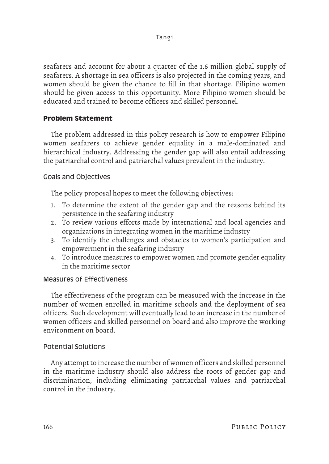seafarers and account for about a quarter of the 1.6 million global supply of seafarers. A shortage in sea officers is also projected in the coming years, and women should be given the chance to fill in that shortage. Filipino women should be given access to this opportunity. More Filipino women should be educated and trained to become officers and skilled personnel.

# **Problem Statement**

The problem addressed in this policy research is how to empower Filipino women seafarers to achieve gender equality in a male-dominated and hierarchical industry. Addressing the gender gap will also entail addressing the patriarchal control and patriarchal values prevalent in the industry.

# Goals and Objectives

The policy proposal hopes to meet the following objectives:

- 1. To determine the extent of the gender gap and the reasons behind its persistence in the seafaring industry
- 2. To review various efforts made by international and local agencies and organizations in integrating women in the maritime industry
- 3. To identify the challenges and obstacles to women's participation and empowerment in the seafaring industry
- 4. To introduce measures to empower women and promote gender equality in the maritime sector

# Measures of Effectiveness

The effectiveness of the program can be measured with the increase in the number of women enrolled in maritime schools and the deployment of sea officers. Such development will eventually lead to an increase in the number of women officers and skilled personnel on board and also improve the working environment on board.

# Potential Solutions

Any attempt to increase the number of women officers and skilled personnel in the maritime industry should also address the roots of gender gap and discrimination, including eliminating patriarchal values and patriarchal control in the industry.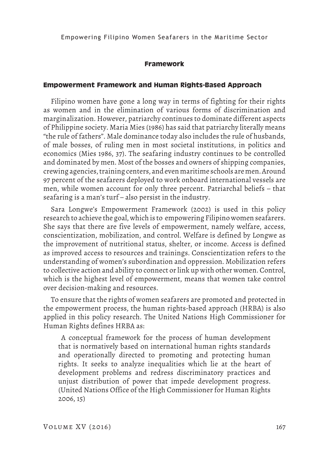#### **Framework**

#### **Empowerment Framework and Human Rights-Based Approach**

Filipino women have gone a long way in terms of fighting for their rights as women and in the elimination of various forms of discrimination and marginalization. However, patriarchy continues to dominate different aspects of Philippine society. Maria Mies (1986) has said that patriarchy literally means "the rule of fathers". Male dominance today also includes the rule of husbands, of male bosses, of ruling men in most societal institutions, in politics and economics (Mies 1986, 37). The seafaring industry continues to be controlled and dominated by men. Most of the bosses and owners of shipping companies, crewing agencies, training centers, and even maritime schools are men. Around 97 percent of the seafarers deployed to work onboard international vessels are men, while women account for only three percent. Patriarchal beliefs – that seafaring is a man's turf – also persist in the industry.

Sara Longwe's Empowerment Framework (2002) is used in this policy research to achieve the goal, which is to empowering Filipino women seafarers. She says that there are five levels of empowerment, namely welfare, access, conscientization, mobilization, and control. Welfare is defined by Longwe as the improvement of nutritional status, shelter, or income. Access is defined as improved access to resources and trainings. Conscientization refers to the understanding of women's subordination and oppression. Mobilization refers to collective action and ability to connect or link up with other women. Control, which is the highest level of empowerment, means that women take control over decision-making and resources.

To ensure that the rights of women seafarers are promoted and protected in the empowerment process, the human rights-based approach (HRBA) is also applied in this policy research. The United Nations High Commissioner for Human Rights defines HRBA as:

 A conceptual framework for the process of human development that is normatively based on international human rights standards and operationally directed to promoting and protecting human rights. It seeks to analyze inequalities which lie at the heart of development problems and redress discriminatory practices and unjust distribution of power that impede development progress. (United Nations Office of the High Commissioner for Human Rights 2006, 15)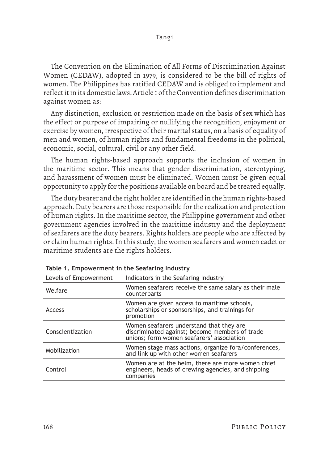The Convention on the Elimination of All Forms of Discrimination Against Women (CEDAW), adopted in 1979, is considered to be the bill of rights of women. The Philippines has ratified CEDAW and is obliged to implement and reflect it in its domestic laws. Article 1 of the Convention defines discrimination against women as:

Any distinction, exclusion or restriction made on the basis of sex which has the effect or purpose of impairing or nullifying the recognition, enjoyment or exercise by women, irrespective of their marital status, on a basis of equality of men and women, of human rights and fundamental freedoms in the political, economic, social, cultural, civil or any other field.

The human rights-based approach supports the inclusion of women in the maritime sector. This means that gender discrimination, stereotyping, and harassment of women must be eliminated. Women must be given equal opportunity to apply for the positions available on board and be treated equally.

The duty bearer and the right holder are identified in the human rights-based approach. Duty bearers are those responsible for the realization and protection of human rights. In the maritime sector, the Philippine government and other government agencies involved in the maritime industry and the deployment of seafarers are the duty bearers. Rights holders are people who are affected by or claim human rights. In this study, the women seafarers and women cadet or maritime students are the rights holders.

| Indicators in the Seafaring Industry                                                                                                    |
|-----------------------------------------------------------------------------------------------------------------------------------------|
| Women seafarers receive the same salary as their male<br>counterparts                                                                   |
| Women are given access to maritime schools,<br>scholarships or sponsorships, and trainings for<br>promotion                             |
| Women seafarers understand that they are<br>discriminated against; become members of trade<br>unions; form women seafarers' association |
| Women stage mass actions, organize fora/conferences,<br>and link up with other women seafarers                                          |
| Women are at the helm, there are more women chief<br>engineers, heads of crewing agencies, and shipping<br>companies                    |
|                                                                                                                                         |

**Table 1. Empowerment in the Seafaring Industry**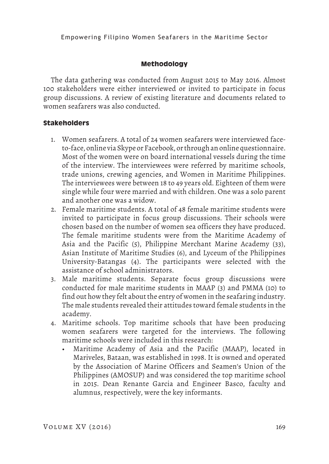## **Methodology**

The data gathering was conducted from August 2015 to May 2016. Almost 100 stakeholders were either interviewed or invited to participate in focus group discussions. A review of existing literature and documents related to women seafarers was also conducted.

## **Stakeholders**

- 1. Women seafarers. A total of 24 women seafarers were interviewed faceto-face, online via Skype or Facebook, or through an online questionnaire. Most of the women were on board international vessels during the time of the interview. The interviewees were referred by maritime schools, trade unions, crewing agencies, and Women in Maritime Philippines. The interviewees were between 18 to 49 years old. Eighteen of them were single while four were married and with children. One was a solo parent and another one was a widow.
- 2. Female maritime students. A total of 48 female maritime students were invited to participate in focus group discussions. Their schools were chosen based on the number of women sea officers they have produced. The female maritime students were from the Maritime Academy of Asia and the Pacific (5), Philippine Merchant Marine Academy (33), Asian Institute of Maritime Studies (6), and Lyceum of the Philippines University-Batangas (4). The participants were selected with the assistance of school administrators.
- 3. Male maritime students. Separate focus group discussions were conducted for male maritime students in MAAP (3) and PMMA (10) to find out how they felt about the entry of women in the seafaring industry. The male students revealed their attitudes toward female students in the academy.
- 4. Maritime schools. Top maritime schools that have been producing women seafarers were targeted for the interviews. The following maritime schools were included in this research:
	- Maritime Academy of Asia and the Pacific (MAAP), located in Mariveles, Bataan, was established in 1998. It is owned and operated by the Association of Marine Officers and Seamen's Union of the Philippines (AMOSUP) and was considered the top maritime school in 2015. Dean Renante Garcia and Engineer Basco, faculty and alumnus, respectively, were the key informants.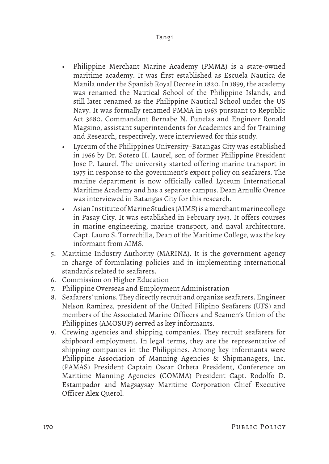- Philippine Merchant Marine Academy (PMMA) is a state-owned maritime academy. It was first established as Escuela Nautica de Manila under the Spanish Royal Decree in 1820. In 1899, the academy was renamed the Nautical School of the Philippine Islands, and still later renamed as the Philippine Nautical School under the US Navy. It was formally renamed PMMA in 1963 pursuant to Republic Act 3680. Commandant Bernabe N. Funelas and Engineer Ronald Magsino, assistant superintendents for Academics and for Training and Research, respectively, were interviewed for this study.
- Lyceum of the Philippines University–Batangas City was established in 1966 by Dr. Sotero H. Laurel, son of former Philippine President Jose P. Laurel. The university started offering marine transport in 1975 in response to the government's export policy on seafarers. The marine department is now officially called Lyceum International Maritime Academy and has a separate campus. Dean Arnulfo Orence was interviewed in Batangas City for this research.
- Asian Institute of Marine Studies (AIMS) is a merchant marine college in Pasay City. It was established in February 1993. It offers courses in marine engineering, marine transport, and naval architecture. Capt. Lauro S. Torrechilla, Dean of the Maritime College, was the key informant from AIMS.
- 5. Maritime Industry Authority (MARINA). It is the government agency in charge of formulating policies and in implementing international standards related to seafarers.
- 6. Commission on Higher Education
- 7. Philippine Overseas and Employment Administration
- 8. Seafarers' unions. They directly recruit and organize seafarers. Engineer Nelson Ramirez, president of the United Filipino Seafarers (UFS) and members of the Associated Marine Officers and Seamen's Union of the Philippines (AMOSUP) served as key informants.
- 9. Crewing agencies and shipping companies. They recruit seafarers for shipboard employment. In legal terms, they are the representative of shipping companies in the Philippines. Among key informants were Philippine Association of Manning Agencies & Shipmanagers, Inc. (PAMAS) President Captain Oscar Orbeta President, Conference on Maritime Manning Agencies (COMMA) President Capt. Rodolfo D. Estampador and Magsaysay Maritime Corporation Chief Executive Officer Alex Querol.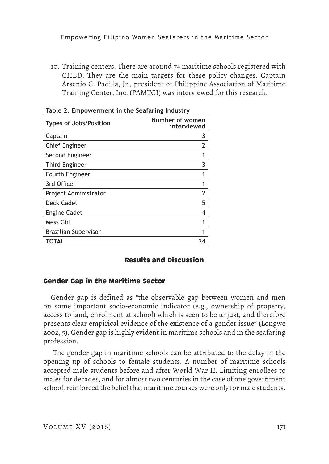10. Training centers. There are around 74 maritime schools registered with CHED. They are the main targets for these policy changes. Captain Arsenio C. Padilla, Jr., president of Philippine Association of Maritime Training Center, Inc. (PAMTCI) was interviewed for this research.

| <b>Types of Jobs/Position</b> | Number of women<br>interviewed |
|-------------------------------|--------------------------------|
| Captain                       | 3                              |
| <b>Chief Engineer</b>         |                                |
| Second Engineer               |                                |
| <b>Third Engineer</b>         | 3                              |
| Fourth Engineer               |                                |
| 3rd Officer                   |                                |
| Project Administrator         |                                |
| Deck Cadet                    | 5                              |
| <b>Engine Cadet</b>           | 4                              |
| Mess Girl                     |                                |
| <b>Brazilian Supervisor</b>   |                                |
| TOTAL                         |                                |

**Table 2. Empowerment in the Seafaring Industry**

## **Results and Discussion**

## **Gender Gap in the Maritime Sector**

Gender gap is defined as "the observable gap between women and men on some important socio-economic indicator (e.g., ownership of property, access to land, enrolment at school) which is seen to be unjust, and therefore presents clear empirical evidence of the existence of a gender issue" (Longwe 2002, 5). Gender gap is highly evident in maritime schools and in the seafaring profession.

 The gender gap in maritime schools can be attributed to the delay in the opening up of schools to female students. A number of maritime schools accepted male students before and after World War II. Limiting enrollees to males for decades, and for almost two centuries in the case of one government school, reinforced the belief that maritime courses were only for male students.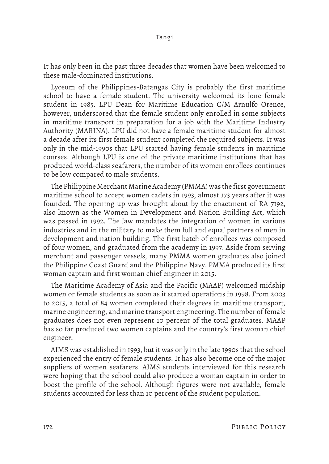It has only been in the past three decades that women have been welcomed to these male-dominated institutions.

Lyceum of the Philippines-Batangas City is probably the first maritime school to have a female student. The university welcomed its lone female student in 1985. LPU Dean for Maritime Education C/M Arnulfo Orence, however, underscored that the female student only enrolled in some subjects in maritime transport in preparation for a job with the Maritime Industry Authority (MARINA). LPU did not have a female maritime student for almost a decade after its first female student completed the required subjects. It was only in the mid-1990s that LPU started having female students in maritime courses. Although LPU is one of the private maritime institutions that has produced world-class seafarers, the number of its women enrollees continues to be low compared to male students.

The Philippine Merchant Marine Academy (PMMA) was the first government maritime school to accept women cadets in 1993, almost 173 years after it was founded. The opening up was brought about by the enactment of RA 7192, also known as the Women in Development and Nation Building Act, which was passed in 1992. The law mandates the integration of women in various industries and in the military to make them full and equal partners of men in development and nation building. The first batch of enrollees was composed of four women, and graduated from the academy in 1997. Aside from serving merchant and passenger vessels, many PMMA women graduates also joined the Philippine Coast Guard and the Philippine Navy. PMMA produced its first woman captain and first woman chief engineer in 2015.

The Maritime Academy of Asia and the Pacific (MAAP) welcomed midship women or female students as soon as it started operations in 1998. From 2003 to 2015, a total of 84 women completed their degrees in maritime transport, marine engineering, and marine transport engineering. The number of female graduates does not even represent 10 percent of the total graduates. MAAP has so far produced two women captains and the country's first woman chief engineer.

AIMS was established in 1993, but it was only in the late 1990s that the school experienced the entry of female students. It has also become one of the major suppliers of women seafarers. AIMS students interviewed for this research were hoping that the school could also produce a woman captain in order to boost the profile of the school. Although figures were not available, female students accounted for less than 10 percent of the student population.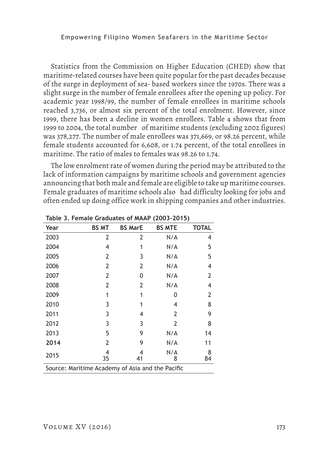Statistics from the Commission on Higher Education (CHED) show that maritime-related courses have been quite popular for the past decades because of the surge in deployment of sea- based workers since the 1970s. There was a slight surge in the number of female enrollees after the opening up policy. For academic year 1998/99, the number of female enrollees in maritime schools reached 3,736, or almost six percent of the total enrolment. However, since 1999, there has been a decline in women enrollees. Table 4 shows that from 1999 to 2004, the total number of maritime students (excluding 2002 figures) was 378,277. The number of male enrollees was 371,669, or 98.26 percent, while female students accounted for 6,608, or 1.74 percent, of the total enrollees in maritime. The ratio of males to females was 98.26 to 1.74.

The low enrolment rate of women during the period may be attributed to the lack of information campaigns by maritime schools and government agencies announcing that both male and female are eligible to take up maritime courses. Female graduates of maritime schools also had difficulty looking for jobs and often ended up doing office work in shipping companies and other industries.

| Year                                             | <b>BS MT</b>   | <b>BS MarE</b> | <b>BS MTE</b> | <b>TOTAL</b> |
|--------------------------------------------------|----------------|----------------|---------------|--------------|
| 2003                                             | $\overline{2}$ | $\overline{2}$ | N/A           | 4            |
| 2004                                             | 4              | 1              | N/A           | 5            |
| 2005                                             | 2              | 3              | N/A           | 5            |
| 2006                                             | 2              | 2              | N/A           | 4            |
| 2007                                             | 2              | 0              | N/A           | 2            |
| 2008                                             | 2              | 2              | N/A           | 4            |
| 2009                                             | 1              | 1              | 0             | 2            |
| 2010                                             | 3              |                | 4             | 8            |
| 2011                                             | 3              | 4              | 2             | 9            |
| 2012                                             | 3              | 3              | 2             | 8            |
| 2013                                             | 5              | 9              | N/A           | 14           |
| 2014                                             | 2              | 9              | N/A           | 11           |
| 2015                                             | 4<br>35        | 4<br>41        | N/A<br>8      | 8<br>84      |
| Source: Maritime Academy of Asia and the Pacific |                |                |               |              |

**Table 3. Female Graduates of MAAP (2003-2015)**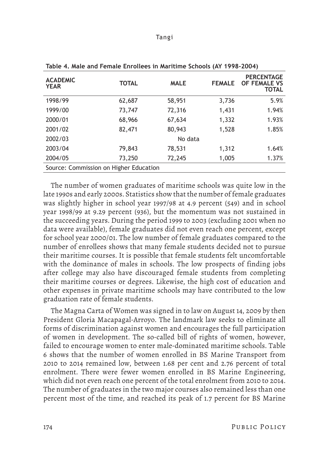| <b>ACADEMIC</b><br><b>YEAR</b>         | <b>TOTAL</b> | <b>MALE</b> | <b>FEMALE</b> | <b>PERCENTAGE</b><br>OF FEMALE VS<br><b>TOTAL</b> |
|----------------------------------------|--------------|-------------|---------------|---------------------------------------------------|
| 1998/99                                | 62,687       | 58,951      | 3,736         | 5.9%                                              |
| 1999/00                                | 73,747       | 72,316      | 1,431         | 1.94%                                             |
| 2000/01                                | 68,966       | 67,634      | 1,332         | 1.93%                                             |
| 2001/02                                | 82,471       | 80,943      | 1,528         | 1.85%                                             |
| 2002/03                                |              | No data     |               |                                                   |
| 2003/04                                | 79,843       | 78,531      | 1,312         | 1.64%                                             |
| 2004/05                                | 73,250       | 72,245      | 1,005         | 1.37%                                             |
| Source: Commission on Higher Education |              |             |               |                                                   |

**Table 4. Male and Female Enrollees in Maritime Schools (AY 1998-2004)**

The number of women graduates of maritime schools was quite low in the late 1990s and early 2000s. Statistics show that the number of female graduates was slightly higher in school year 1997/98 at 4.9 percent (549) and in school year 1998/99 at 9.29 percent (936), but the momentum was not sustained in the succeeding years. During the period 1999 to 2003 (excluding 2001 when no data were available), female graduates did not even reach one percent, except for school year 2000/01. The low number of female graduates compared to the number of enrollees shows that many female students decided not to pursue their maritime courses. It is possible that female students felt uncomfortable with the dominance of males in schools. The low prospects of finding jobs after college may also have discouraged female students from completing their maritime courses or degrees. Likewise, the high cost of education and other expenses in private maritime schools may have contributed to the low graduation rate of female students.

The Magna Carta of Women was signed in to law on August 14, 2009 by then President Gloria Macapagal-Arroyo. The landmark law seeks to eliminate all forms of discrimination against women and encourages the full participation of women in development. The so-called bill of rights of women, however, failed to encourage women to enter male-dominated maritime schools. Table 6 shows that the number of women enrolled in BS Marine Transport from 2010 to 2014 remained low, between 1.68 per cent and 2.76 percent of total enrolment. There were fewer women enrolled in BS Marine Engineering, which did not even reach one percent of the total enrolment from 2010 to 2014. The number of graduates in the two major courses also remained less than one percent most of the time, and reached its peak of 1.7 percent for BS Marine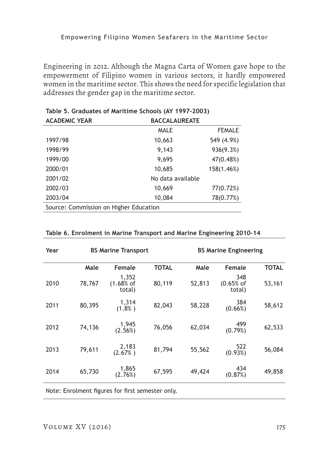Engineering in 2012. Although the Magna Carta of Women gave hope to the empowerment of Filipino women in various sectors, it hardly empowered women in the maritime sector. This shows the need for specific legislation that addresses the gender gap in the maritime sector.

| <b>ACADEMIC YEAR</b>                   | <b>BACCALAUREATE</b> |               |  |
|----------------------------------------|----------------------|---------------|--|
|                                        | MALE                 | <b>FEMALE</b> |  |
| 1997/98                                | 10,663               | 549 (4.9%)    |  |
| 1998/99                                | 9,143                | 936(9.3%)     |  |
| 1999/00                                | 9,695                | 47(0.48%)     |  |
| 2000/01                                | 10,685               | 158(1.46%)    |  |
| 2001/02                                | No data available    |               |  |
| 2002/03                                | 10,669               | 77(0.72%)     |  |
| 2003/04                                | 10,084               | 78(0.77%)     |  |
| Source: Commission on Higher Education |                      |               |  |

| Table 5. Graduates of Maritime Schools (AY 1997-2003) |  |  |  |  |
|-------------------------------------------------------|--|--|--|--|
|-------------------------------------------------------|--|--|--|--|

| Year | <b>BS Marine Transport</b> |                                 |              |        | <b>BS Marine Engineering</b> |              |
|------|----------------------------|---------------------------------|--------------|--------|------------------------------|--------------|
|      | Male                       | Female                          | <b>TOTAL</b> | Male   | Female                       | <b>TOTAL</b> |
| 2010 | 78,767                     | 1,352<br>$(1.68\%$ of<br>total) | 80,119       | 52,813 | 348<br>$(0.65%$ of<br>total) | 53,161       |
| 2011 | 80,395                     | 1,314<br>(1.8% )                | 82,043       | 58,228 | 384<br>(0.66%)               | 58,612       |
| 2012 | 74,136                     | 1,945<br>(2.56%)                | 76,056       | 62,034 | 499<br>(0.79%)               | 62,533       |
| 2013 | 79,611                     | 2,183<br>(2.67% )               | 81,794       | 55,562 | 522<br>(0.93%)               | 56,084       |
| 2014 | 65,730                     | 1,865<br>(2.76%)                | 67,595       | 49,424 | 434<br>(0.87%)               | 49,858       |
|      |                            |                                 |              |        |                              |              |

#### **Table 6. Enrolment in Marine Transport and Marine Engineering 2010-14**

Note: Enrolment figures for first semester only.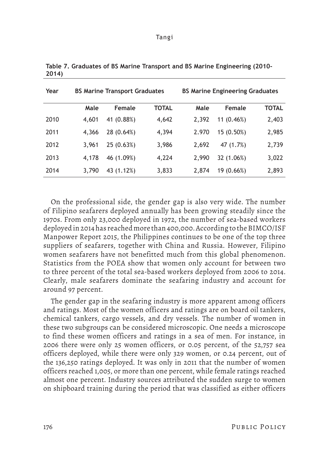| Year | <b>BS Marine Transport Graduates</b> |            |              |       | <b>BS Marine Engineering Graduates</b> |       |
|------|--------------------------------------|------------|--------------|-------|----------------------------------------|-------|
|      | Male                                 | Female     | <b>TOTAL</b> | Male  | <b>Female</b>                          | TOTAL |
| 2010 | 4.601                                | 41 (0.88%) | 4,642        | 2,392 | 11 (0.46%)                             | 2,403 |
| 2011 | 4,366                                | 28 (0.64%) | 4,394        | 2.970 | 15 (0.50%)                             | 2,985 |
| 2012 | 3,961                                | 25 (0.63%) | 3,986        | 2,692 | 47 (1.7%)                              | 2,739 |
| 2013 | 4.178                                | 46 (1.09%) | 4,224        | 2,990 | 32 (1.06%)                             | 3,022 |
| 2014 | 3,790                                | 43 (1.12%) | 3,833        | 2.874 | 19 (0.66%)                             | 2,893 |

**Table 7. Graduates of BS Marine Transport and BS Marine Engineering (2010- 2014)** 

On the professional side, the gender gap is also very wide. The number of Filipino seafarers deployed annually has been growing steadily since the 1970s. From only 23,000 deployed in 1972, the number of sea-based workers deployed in 2014 has reached more than 400,000. According to the BIMCO/ISF Manpower Report 2015, the Philippines continues to be one of the top three suppliers of seafarers, together with China and Russia. However, Filipino women seafarers have not benefitted much from this global phenomenon. Statistics from the POEA show that women only account for between two to three percent of the total sea-based workers deployed from 2006 to 2014. Clearly, male seafarers dominate the seafaring industry and account for around 97 percent.

The gender gap in the seafaring industry is more apparent among officers and ratings. Most of the women officers and ratings are on board oil tankers, chemical tankers, cargo vessels, and dry vessels. The number of women in these two subgroups can be considered microscopic. One needs a microscope to find these women officers and ratings in a sea of men. For instance, in 2006 there were only 25 women officers, or 0.05 percent, of the 52,757 sea officers deployed, while there were only 329 women, or 0.24 percent, out of the 136,250 ratings deployed. It was only in 2011 that the number of women officers reached 1,005, or more than one percent, while female ratings reached almost one percent. Industry sources attributed the sudden surge to women on shipboard training during the period that was classified as either officers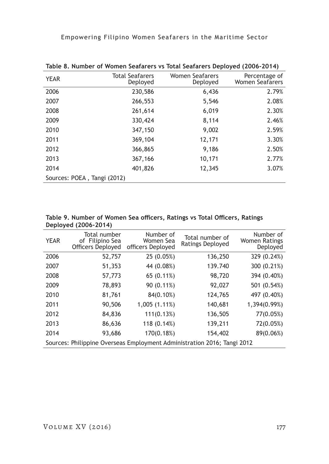| <b>YEAR</b>                 | <b>Total Seafarers</b><br>Deployed | Women Seafarers<br>Deployed | Percentage of<br><b>Women Seafarers</b> |
|-----------------------------|------------------------------------|-----------------------------|-----------------------------------------|
| 2006                        | 230,586                            | 6,436                       | 2.79%                                   |
| 2007                        | 266,553                            | 5,546                       | 2.08%                                   |
| 2008                        | 261,614                            | 6,019                       | 2.30%                                   |
| 2009                        | 330,424                            | 8,114                       | 2.46%                                   |
| 2010                        | 347,150                            | 9,002                       | 2.59%                                   |
| 2011                        | 369,104                            | 12,171                      | 3.30%                                   |
| 2012                        | 366,865                            | 9,186                       | 2.50%                                   |
| 2013                        | 367,166                            | 10,171                      | 2.77%                                   |
| 2014                        | 401,826                            | 12,345                      | 3.07%                                   |
| Sources: POEA, Tangi (2012) |                                    |                             |                                         |

**Table 8. Number of Women Seafarers vs Total Seafarers Deployed (2006-2014)**

**Table 9. Number of Women Sea officers, Ratings vs Total Officers, Ratings Deployed (2006-2014)**

|                                                                         | $DCPIO$ , $VCl$ (2000 2014)                          |                                             |                                     |                                               |
|-------------------------------------------------------------------------|------------------------------------------------------|---------------------------------------------|-------------------------------------|-----------------------------------------------|
| <b>YEAR</b>                                                             | Total number<br>of Filipino Sea<br>Officers Deployed | Number of<br>Women Sea<br>officers Deployed | Total number of<br>Ratings Deployed | Number of<br><b>Women Ratings</b><br>Deployed |
| 2006                                                                    | 52,757                                               | 25 (0.05%)                                  | 136,250                             | 329 (0.24%)                                   |
| 2007                                                                    | 51,353                                               | 44 (0.08%)                                  | 139.740                             | 300 (0.21%)                                   |
| 2008                                                                    | 57,773                                               | 65 (0.11%)                                  | 98,720                              | 394 (0.40%)                                   |
| 2009                                                                    | 78,893                                               | 90 (0.11%)                                  | 92,027                              | 501 (0.54%)                                   |
| 2010                                                                    | 81,761                                               | 84(0.10%)                                   | 124,765                             | 497 (0.40%)                                   |
| 2011                                                                    | 90,506                                               | 1,005 (1.11%)                               | 140,681                             | 1,394(0.99%)                                  |
| 2012                                                                    | 84,836                                               | 111(0.13%)                                  | 136,505                             | 77(0.05%)                                     |
| 2013                                                                    | 86,636                                               | 118 (0.14%)                                 | 139,211                             | 72(0.05%)                                     |
| 2014                                                                    | 93,686                                               | 170(0.18%)                                  | 154,402                             | 89(0.06%)                                     |
| Sources: Philippine Overseas Employment Administration 2016; Tangi 2012 |                                                      |                                             |                                     |                                               |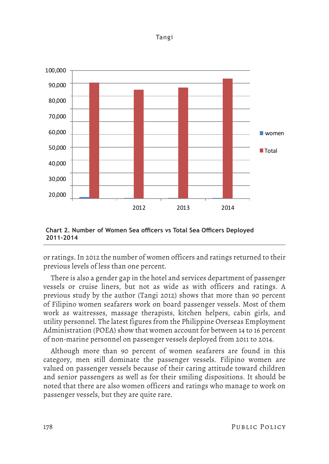

**Chart 2. Number of Women Sea officers vs Total Sea Officers Deployed 2011-2014**

or ratings. In 2012 the number of women officers and ratings returned to their previous levels of less than one percent.

There is also a gender gap in the hotel and services department of passenger vessels or cruise liners, but not as wide as with officers and ratings. A previous study by the author (Tangi 2012) shows that more than 90 percent of Filipino women seafarers work on board passenger vessels. Most of them work as waitresses, massage therapists, kitchen helpers, cabin girls, and utility personnel. The latest figures from the Philippine Overseas Employment Administration (POEA) show that women account for between 14 to 16 percent of non-marine personnel on passenger vessels deployed from 2011 to 2014.

Although more than 90 percent of women seafarers are found in this category, men still dominate the passenger vessels. Filipino women are valued on passenger vessels because of their caring attitude toward children and senior passengers as well as for their smiling dispositions. It should be noted that there are also women officers and ratings who manage to work on passenger vessels, but they are quite rare.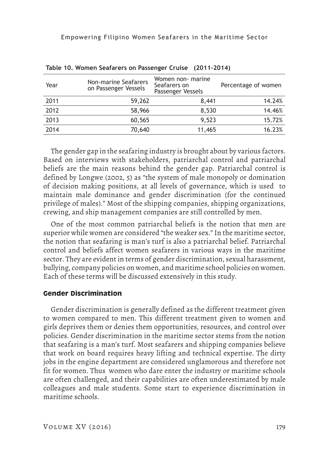| Year | Non-marine Seafarers<br>on Passenger Vessels | Women non- marine<br>Seafarers on<br>Passenger Vessels | Percentage of women |
|------|----------------------------------------------|--------------------------------------------------------|---------------------|
| 2011 | 59,262                                       | 8,441                                                  | 14.24%              |
| 2012 | 58,966                                       | 8,530                                                  | 14.46%              |
| 2013 | 60,565                                       | 9,523                                                  | 15.72%              |
| 2014 | 70,640                                       | 11,465                                                 | 16.23%              |

**Table 10. Women Seafarers on Passenger Cruise (2011-2014)**

The gender gap in the seafaring industry is brought about by various factors. Based on interviews with stakeholders, patriarchal control and patriarchal beliefs are the main reasons behind the gender gap. Patriarchal control is defined by Longwe (2002, 5) as "the system of male monopoly or domination of decision making positions, at all levels of governance, which is used to maintain male dominance and gender discrimination (for the continued privilege of males)." Most of the shipping companies, shipping organizations, crewing, and ship management companies are still controlled by men.

One of the most common patriarchal beliefs is the notion that men are superior while women are considered "the weaker sex." In the maritime sector, the notion that seafaring is man's turf is also a patriarchal belief. Patriarchal control and beliefs affect women seafarers in various ways in the maritime sector. They are evident in terms of gender discrimination, sexual harassment, bullying, company policies on women, and maritime school policies on women. Each of these terms will be discussed extensively in this study.

## **Gender Discrimination**

Gender discrimination is generally defined as the different treatment given to women compared to men. This different treatment given to women and girls deprives them or denies them opportunities, resources, and control over policies. Gender discrimination in the maritime sector stems from the notion that seafaring is a man's turf. Most seafarers and shipping companies believe that work on board requires heavy lifting and technical expertise. The dirty jobs in the engine department are considered unglamorous and therefore not fit for women. Thus women who dare enter the industry or maritime schools are often challenged, and their capabilities are often underestimated by male colleagues and male students. Some start to experience discrimination in maritime schools.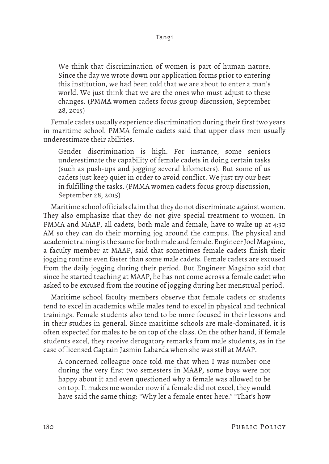We think that discrimination of women is part of human nature. Since the day we wrote down our application forms prior to entering this institution, we had been told that we are about to enter a man's world. We just think that we are the ones who must adjust to these changes. (PMMA women cadets focus group discussion, September 28, 2015)

Female cadets usually experience discrimination during their first two years in maritime school. PMMA female cadets said that upper class men usually underestimate their abilities.

Gender discrimination is high. For instance, some seniors underestimate the capability of female cadets in doing certain tasks (such as push-ups and jogging several kilometers). But some of us cadets just keep quiet in order to avoid conflict. We just try our best in fulfilling the tasks. (PMMA women cadets focus group discussion, September 28, 2015)

Maritime school officials claim that they do not discriminate against women. They also emphasize that they do not give special treatment to women. In PMMA and MAAP, all cadets, both male and female, have to wake up at 4:30 AM so they can do their morning jog around the campus. The physical and academic training is the same for both male and female. Engineer Joel Magsino, a faculty member at MAAP, said that sometimes female cadets finish their jogging routine even faster than some male cadets. Female cadets are excused from the daily jogging during their period. But Engineer Magsino said that since he started teaching at MAAP, he has not come across a female cadet who asked to be excused from the routine of jogging during her menstrual period.

Maritime school faculty members observe that female cadets or students tend to excel in academics while males tend to excel in physical and technical trainings. Female students also tend to be more focused in their lessons and in their studies in general. Since maritime schools are male-dominated, it is often expected for males to be on top of the class. On the other hand, if female students excel, they receive derogatory remarks from male students, as in the case of licensed Captain Jasmin Labarda when she was still at MAAP.

A concerned colleague once told me that when I was number one during the very first two semesters in MAAP, some boys were not happy about it and even questioned why a female was allowed to be on top. It makes me wonder now if a female did not excel, they would have said the same thing: "Why let a female enter here." "That's how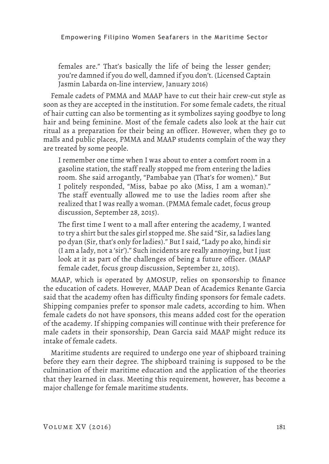females are." That's basically the life of being the lesser gender; you're damned if you do well, damned if you don't. (Licensed Captain Jasmin Labarda on-line interview, January 2016)

Female cadets of PMMA and MAAP have to cut their hair crew-cut style as soon as they are accepted in the institution. For some female cadets, the ritual of hair cutting can also be tormenting as it symbolizes saying goodbye to long hair and being feminine. Most of the female cadets also look at the hair cut ritual as a preparation for their being an officer. However, when they go to malls and public places, PMMA and MAAP students complain of the way they are treated by some people.

I remember one time when I was about to enter a comfort room in a gasoline station, the staff really stopped me from entering the ladies room. She said arrogantly, "Pambabae yan (That's for women)." But I politely responded, "Miss, babae po ako (Miss, I am a woman)." The staff eventually allowed me to use the ladies room after she realized that I was really a woman. (PMMA female cadet, focus group discussion, September 28, 2015).

The first time I went to a mall after entering the academy, I wanted to try a shirt but the sales girl stopped me. She said "Sir, sa ladies lang po dyan (Sir, that's only for ladies)." But I said, "Lady po ako, hindi sir (I am a lady, not a 'sir')." Such incidents are really annoying, but I just look at it as part of the challenges of being a future officer. (MAAP female cadet, focus group discussion, September 21, 2015).

MAAP, which is operated by AMOSUP, relies on sponsorship to finance the education of cadets. However, MAAP Dean of Academics Renante Garcia said that the academy often has difficulty finding sponsors for female cadets. Shipping companies prefer to sponsor male cadets, according to him. When female cadets do not have sponsors, this means added cost for the operation of the academy. If shipping companies will continue with their preference for male cadets in their sponsorship, Dean Garcia said MAAP might reduce its intake of female cadets.

Maritime students are required to undergo one year of shipboard training before they earn their degree. The shipboard training is supposed to be the culmination of their maritime education and the application of the theories that they learned in class. Meeting this requirement, however, has become a major challenge for female maritime students.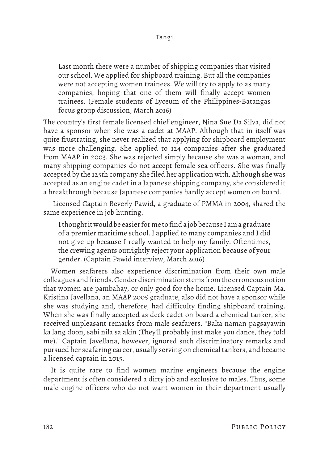Last month there were a number of shipping companies that visited our school. We applied for shipboard training. But all the companies were not accepting women trainees. We will try to apply to as many companies, hoping that one of them will finally accept women trainees. (Female students of Lyceum of the Philippines-Batangas focus group discussion, March 2016)

The country's first female licensed chief engineer, Nina Sue Da Silva, did not have a sponsor when she was a cadet at MAAP. Although that in itself was quite frustrating, she never realized that applying for shipboard employment was more challenging. She applied to 124 companies after she graduated from MAAP in 2003. She was rejected simply because she was a woman, and many shipping companies do not accept female sea officers. She was finally accepted by the 125th company she filed her application with. Although she was accepted as an engine cadet in a Japanese shipping company, she considered it a breakthrough because Japanese companies hardly accept women on board.

 Licensed Captain Beverly Pawid, a graduate of PMMA in 2004, shared the same experience in job hunting.

I thought it would be easier for me to find a job because I am a graduate of a premier maritime school. I applied to many companies and I did not give up because I really wanted to help my family. Oftentimes, the crewing agents outrightly reject your application because of your gender. (Captain Pawid interview, March 2016)

Women seafarers also experience discrimination from their own male colleagues and friends. Gender discrimination stems from the erroneous notion that women are pambahay, or only good for the home. Licensed Captain Ma. Kristina Javellana, an MAAP 2005 graduate, also did not have a sponsor while she was studying and, therefore, had difficulty finding shipboard training. When she was finally accepted as deck cadet on board a chemical tanker, she received unpleasant remarks from male seafarers. "Baka naman pagsayawin ka lang doon, sabi nila sa akin (They'll probably just make you dance, they told me)." Captain Javellana, however, ignored such discriminatory remarks and pursued her seafaring career, usually serving on chemical tankers, and became a licensed captain in 2015.

It is quite rare to find women marine engineers because the engine department is often considered a dirty job and exclusive to males. Thus, some male engine officers who do not want women in their department usually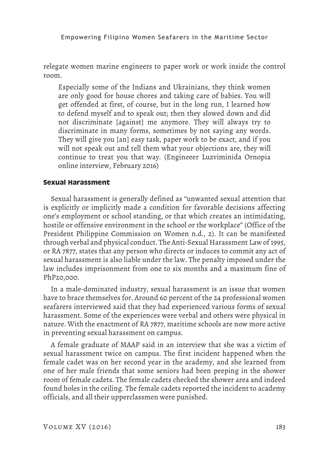relegate women marine engineers to paper work or work inside the control room.

Especially some of the Indians and Ukrainians, they think women are only good for house chores and taking care of babies. You will get offended at first, of course, but in the long run, I learned how to defend myself and to speak out; then they slowed down and did not discriminate [against] me anymore. They will always try to discriminate in many forms, sometimes by not saying any words. They will give you [an] easy task, paper work to be exact, and if you will not speak out and tell them what your objections are, they will continue to treat you that way. (Engineeer Luzviminida Ornopia online interview, February 2016)

## **Sexual Harassment**

Sexual harassment is generally defined as "unwanted sexual attention that is explicitly or implicitly made a condition for favorable decisions affecting one's employment or school standing, or that which creates an intimidating, hostile or offensive environment in the school or the workplace" (Office of the President Philippine Commission on Women n.d., 2). It can be manifested through verbal and physical conduct. The Anti-Sexual Harassment Law of 1995, or RA 7877, states that any person who directs or induces to commit any act of sexual harassment is also liable under the law. The penalty imposed under the law includes imprisonment from one to six months and a maximum fine of PhP20,000.

In a male-dominated industry, sexual harassment is an issue that women have to brace themselves for. Around 60 percent of the 24 professional women seafarers interviewed said that they had experienced various forms of sexual harassment. Some of the experiences were verbal and others were physical in nature. With the enactment of RA 7877, maritime schools are now more active in preventing sexual harassment on campus.

A female graduate of MAAP said in an interview that she was a victim of sexual harassment twice on campus. The first incident happened when the female cadet was on her second year in the academy, and she learned from one of her male friends that some seniors had been peeping in the shower room of female cadets. The female cadets checked the shower area and indeed found holes in the ceiling. The female cadets reported the incident to academy officials, and all their upperclassmen were punished.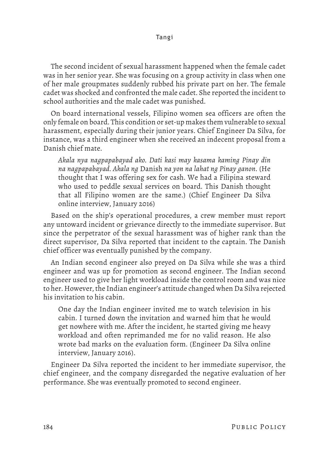The second incident of sexual harassment happened when the female cadet was in her senior year. She was focusing on a group activity in class when one of her male groupmates suddenly rubbed his private part on her. The female cadet was shocked and confronted the male cadet. She reported the incident to school authorities and the male cadet was punished.

On board international vessels, Filipino women sea officers are often the only female on board. This condition or set-up makes them vulnerable to sexual harassment, especially during their junior years. Chief Engineer Da Silva, for instance, was a third engineer when she received an indecent proposal from a Danish chief mate.

*Akala nya nagpapabayad ako. Dati kasi may kasama kaming Pinay din na nagpapabayad. Akala ng* Danish *na yon na lahat ng Pinay ganon*. (He thought that I was offering sex for cash. We had a Filipina steward who used to peddle sexual services on board. This Danish thought that all Filipino women are the same.) (Chief Engineer Da Silva online interview, January 2016)

Based on the ship's operational procedures, a crew member must report any untoward incident or grievance directly to the immediate supervisor. But since the perpetrator of the sexual harassment was of higher rank than the direct supervisor, Da Silva reported that incident to the captain. The Danish chief officer was eventually punished by the company.

An Indian second engineer also preyed on Da Silva while she was a third engineer and was up for promotion as second engineer. The Indian second engineer used to give her light workload inside the control room and was nice to her. However, the Indian engineer's attitude changed when Da Silva rejected his invitation to his cabin.

One day the Indian engineer invited me to watch television in his cabin. I turned down the invitation and warned him that he would get nowhere with me. After the incident, he started giving me heavy workload and often reprimanded me for no valid reason. He also wrote bad marks on the evaluation form. (Engineer Da Silva online interview, January 2016).

Engineer Da Silva reported the incident to her immediate supervisor, the chief engineer, and the company disregarded the negative evaluation of her performance. She was eventually promoted to second engineer.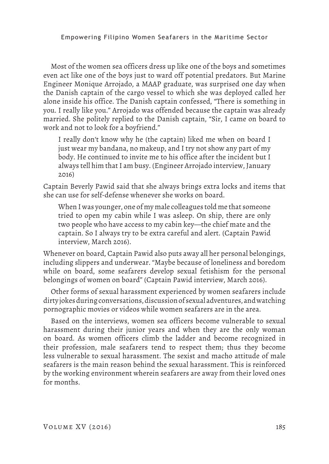Most of the women sea officers dress up like one of the boys and sometimes even act like one of the boys just to ward off potential predators. But Marine Engineer Monique Arrojado, a MAAP graduate, was surprised one day when the Danish captain of the cargo vessel to which she was deployed called her alone inside his office. The Danish captain confessed, "There is something in you. I really like you." Arrojado was offended because the captain was already married. She politely replied to the Danish captain, "Sir, I came on board to work and not to look for a boyfriend."

I really don't know why he (the captain) liked me when on board I just wear my bandana, no makeup, and I try not show any part of my body. He continued to invite me to his office after the incident but I always tell him that I am busy. (Engineer Arrojado interview, January 2016)

Captain Beverly Pawid said that she always brings extra locks and items that she can use for self-defense whenever she works on board.

When I was younger, one of my male colleagues told me that someone tried to open my cabin while I was asleep. On ship, there are only two people who have access to my cabin key—the chief mate and the captain. So I always try to be extra careful and alert. (Captain Pawid interview, March 2016).

Whenever on board, Captain Pawid also puts away all her personal belongings, including slippers and underwear. "Maybe because of loneliness and boredom while on board, some seafarers develop sexual fetishism for the personal belongings of women on board" (Captain Pawid interview, March 2016).

Other forms of sexual harassment experienced by women seafarers include dirty jokes during conversations, discussion of sexual adventures, and watching pornographic movies or videos while women seafarers are in the area.

Based on the interviews, women sea officers become vulnerable to sexual harassment during their junior years and when they are the only woman on board. As women officers climb the ladder and become recognized in their profession, male seafarers tend to respect them; thus they become less vulnerable to sexual harassment. The sexist and macho attitude of male seafarers is the main reason behind the sexual harassment. This is reinforced by the working environment wherein seafarers are away from their loved ones for months.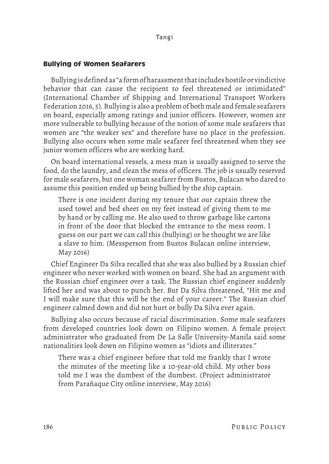## **Bullying of Women Seafarers**

Bullying is defined as "a form of harassment that includes hostile or vindictive behavior that can cause the recipient to feel threatened or intimidated" (International Chamber of Shipping and International Transport Workers Federation 2016, 5). Bullying is also a problem of both male and female seafarers on board, especially among ratings and junior officers. However, women are more vulnerable to bullying because of the notion of some male seafarers that women are "the weaker sex" and therefore have no place in the profession. Bullying also occurs when some male seafarer feel threatened when they see junior women officers who are working hard.

On board international vessels, a mess man is usually assigned to serve the food, do the laundry, and clean the mess of officers. The job is usually reserved for male seafarers, but one woman seafarer from Bustos, Bulacan who dared to assume this position ended up being bullied by the ship captain.

There is one incident during my tenure that our captain threw the used towel and bed sheet on my feet instead of giving them to me by hand or by calling me. He also used to throw garbage like cartons in front of the door that blocked the entrance to the mess room. I guess on our part we can call this (bullying) or he thought we are like a slave to him. (Messperson from Bustos Bulacan online interview, May 2016)

Chief Engineer Da Silva recalled that she was also bullied by a Russian chief engineer who never worked with women on board. She had an argument with the Russian chief engineer over a task. The Russian chief engineer suddenly lifted her and was about to punch her. But Da Silva threatened, "Hit me and I will make sure that this will be the end of your career." The Russian chief engineer calmed down and did not hurt or bully Da Silva ever again.

Bullying also occurs because of racial discrimination. Some male seafarers from developed countries look down on Filipino women. A female project administrator who graduated from De La Salle University-Manila said some nationalities look down on Filipino women as "idiots and illiterates."

There was a chief engineer before that told me frankly that I wrote the minutes of the meeting like a 10-year-old child. My other boss told me I was the dumbest of the dumbest. (Project administrator from Parañaque City online interview, May 2016)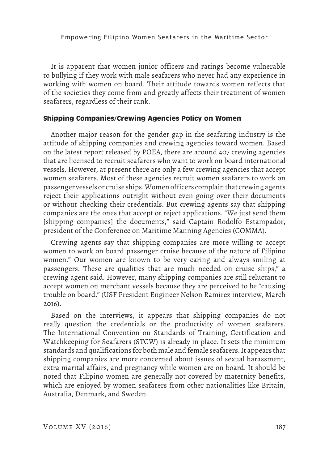It is apparent that women junior officers and ratings become vulnerable to bullying if they work with male seafarers who never had any experience in working with women on board. Their attitude towards women reflects that of the societies they come from and greatly affects their treatment of women seafarers, regardless of their rank.

## **Shipping Companies/Crewing Agencies Policy on Women**

Another major reason for the gender gap in the seafaring industry is the attitude of shipping companies and crewing agencies toward women. Based on the latest report released by POEA, there are around 407 crewing agencies that are licensed to recruit seafarers who want to work on board international vessels. However, at present there are only a few crewing agencies that accept women seafarers. Most of these agencies recruit women seafarers to work on passenger vessels or cruise ships. Women officers complain that crewing agents reject their applications outright without even going over their documents or without checking their credentials. But crewing agents say that shipping companies are the ones that accept or reject applications. "We just send them [shipping companies] the documents," said Captain Rodolfo Estampador, president of the Conference on Maritime Manning Agencies (COMMA).

Crewing agents say that shipping companies are more willing to accept women to work on board passenger cruise because of the nature of Filipino women." Our women are known to be very caring and always smiling at passengers. These are qualities that are much needed on cruise ships," a crewing agent said. However, many shipping companies are still reluctant to accept women on merchant vessels because they are perceived to be "causing trouble on board." (USF President Engineer Nelson Ramirez interview, March 2016).

Based on the interviews, it appears that shipping companies do not really question the credentials or the productivity of women seafarers. The International Convention on Standards of Training, Certification and Watchkeeping for Seafarers (STCW) is already in place. It sets the minimum standards and qualifications for both male and female seafarers. It appears that shipping companies are more concerned about issues of sexual harassment, extra marital affairs, and pregnancy while women are on board. It should be noted that Filipino women are generally not covered by maternity benefits, which are enjoyed by women seafarers from other nationalities like Britain, Australia, Denmark, and Sweden.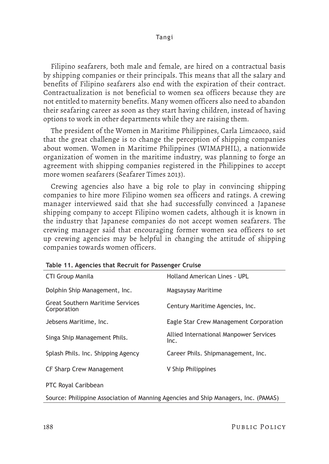Filipino seafarers, both male and female, are hired on a contractual basis by shipping companies or their principals. This means that all the salary and benefits of Filipino seafarers also end with the expiration of their contract. Contractualization is not beneficial to women sea officers because they are not entitled to maternity benefits. Many women officers also need to abandon their seafaring career as soon as they start having children, instead of having options to work in other departments while they are raising them.

The president of the Women in Maritime Philippines, Carla Limcaoco, said that the great challenge is to change the perception of shipping companies about women. Women in Maritime Philippines (WIMAPHIL), a nationwide organization of women in the maritime industry, was planning to forge an agreement with shipping companies registered in the Philippines to accept more women seafarers (Seafarer Times 2013).

Crewing agencies also have a big role to play in convincing shipping companies to hire more Filipino women sea officers and ratings. A crewing manager interviewed said that she had successfully convinced a Japanese shipping company to accept Filipino women cadets, although it is known in the industry that Japanese companies do not accept women seafarers. The crewing manager said that encouraging former women sea officers to set up crewing agencies may be helpful in changing the attitude of shipping companies towards women officers.

| <b>CTI Group Manila</b>                                | <b>Holland American Lines - UPL</b>            |
|--------------------------------------------------------|------------------------------------------------|
| Dolphin Ship Management, Inc.                          | Magsaysay Maritime                             |
| <b>Great Southern Maritime Services</b><br>Corporation | Century Maritime Agencies, Inc.                |
| Jebsens Maritime, Inc.                                 | Eagle Star Crew Management Corporation         |
| Singa Ship Management Phils.                           | Allied International Manpower Services<br>Inc. |
| Splash Phils. Inc. Shipping Agency                     | Career Phils. Shipmanagement, Inc.             |
| <b>CF Sharp Crew Management</b>                        | V Ship Philippines                             |
| PTC Royal Caribbean                                    |                                                |

Source: Philippine Association of Manning Agencies and Ship Managers, Inc. (PAMAS)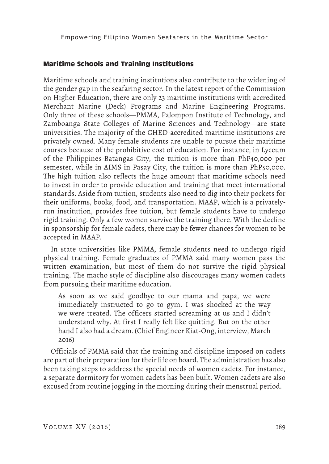## **Maritime Schools and Training Institutions**

Maritime schools and training institutions also contribute to the widening of the gender gap in the seafaring sector. In the latest report of the Commission on Higher Education, there are only 23 maritime institutions with accredited Merchant Marine (Deck) Programs and Marine Engineering Programs. Only three of these schools—PMMA, Palompon Institute of Technology, and Zamboanga State Colleges of Marine Sciences and Technology—are state universities. The majority of the CHED-accredited maritime institutions are privately owned. Many female students are unable to pursue their maritime courses because of the prohibitive cost of education. For instance, in Lyceum of the Philippines-Batangas City, the tuition is more than PhP40,000 per semester, while in AIMS in Pasay City, the tuition is more than PhP50,000. The high tuition also reflects the huge amount that maritime schools need to invest in order to provide education and training that meet international standards. Aside from tuition, students also need to dig into their pockets for their uniforms, books, food, and transportation. MAAP, which is a privatelyrun institution, provides free tuition, but female students have to undergo rigid training. Only a few women survive the training there. With the decline in sponsorship for female cadets, there may be fewer chances for women to be accepted in MAAP.

In state universities like PMMA, female students need to undergo rigid physical training. Female graduates of PMMA said many women pass the written examination, but most of them do not survive the rigid physical training. The macho style of discipline also discourages many women cadets from pursuing their maritime education.

As soon as we said goodbye to our mama and papa, we were immediately instructed to go to gym. I was shocked at the way we were treated. The officers started screaming at us and I didn't understand why. At first I really felt like quitting. But on the other hand I also had a dream. (Chief Engineer Kiat-Ong, interview, March 2016)

Officials of PMMA said that the training and discipline imposed on cadets are part of their preparation for their life on board. The administration has also been taking steps to address the special needs of women cadets. For instance, a separate dormitory for women cadets has been built. Women cadets are also excused from routine jogging in the morning during their menstrual period.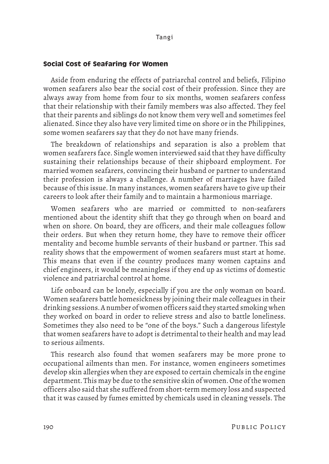#### **Social Cost of Seafaring for Women**

Aside from enduring the effects of patriarchal control and beliefs, Filipino women seafarers also bear the social cost of their profession. Since they are always away from home from four to six months, women seafarers confess that their relationship with their family members was also affected. They feel that their parents and siblings do not know them very well and sometimes feel alienated. Since they also have very limited time on shore or in the Philippines, some women seafarers say that they do not have many friends.

The breakdown of relationships and separation is also a problem that women seafarers face. Single women interviewed said that they have difficulty sustaining their relationships because of their shipboard employment. For married women seafarers, convincing their husband or partner to understand their profession is always a challenge. A number of marriages have failed because of this issue. In many instances, women seafarers have to give up their careers to look after their family and to maintain a harmonious marriage.

Women seafarers who are married or committed to non-seafarers mentioned about the identity shift that they go through when on board and when on shore. On board, they are officers, and their male colleagues follow their orders. But when they return home, they have to remove their officer mentality and become humble servants of their husband or partner. This sad reality shows that the empowerment of women seafarers must start at home. This means that even if the country produces many women captains and chief engineers, it would be meaningless if they end up as victims of domestic violence and patriarchal control at home.

Life onboard can be lonely, especially if you are the only woman on board. Women seafarers battle homesickness by joining their male colleagues in their drinking sessions. A number of women officers said they started smoking when they worked on board in order to relieve stress and also to battle loneliness. Sometimes they also need to be "one of the boys." Such a dangerous lifestyle that women seafarers have to adopt is detrimental to their health and may lead to serious ailments.

This research also found that women seafarers may be more prone to occupational ailments than men. For instance, women engineers sometimes develop skin allergies when they are exposed to certain chemicals in the engine department. This may be due to the sensitive skin of women. One of the women officers also said that she suffered from short-term memory loss and suspected that it was caused by fumes emitted by chemicals used in cleaning vessels. The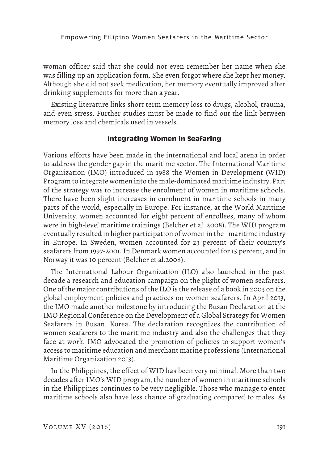woman officer said that she could not even remember her name when she was filling up an application form. She even forgot where she kept her money. Although she did not seek medication, her memory eventually improved after drinking supplements for more than a year.

Existing literature links short term memory loss to drugs, alcohol, trauma, and even stress. Further studies must be made to find out the link between memory loss and chemicals used in vessels.

## **Integrating Women in Seafaring**

Various efforts have been made in the international and local arena in order to address the gender gap in the maritime sector. The International Maritime Organization (IMO) introduced in 1988 the Women in Development (WID) Program to integrate women into the male-dominated maritime industry. Part of the strategy was to increase the enrolment of women in maritime schools. There have been slight increases in enrolment in maritime schools in many parts of the world, especially in Europe. For instance, at the World Maritime University, women accounted for eight percent of enrollees, many of whom were in high-level maritime trainings (Belcher et al. 2008). The WID program eventually resulted in higher participation of women in the maritime industry in Europe. In Sweden, women accounted for 23 percent of their country's seafarers from 1997-2001. In Denmark women accounted for 15 percent, and in Norway it was 10 percent (Belcher et al.2008).

The International Labour Organization (ILO) also launched in the past decade a research and education campaign on the plight of women seafarers. One of the major contributions of the ILO is the release of a book in 2003 on the global employment policies and practices on women seafarers. In April 2013, the IMO made another milestone by introducing the Busan Declaration at the IMO Regional Conference on the Development of a Global Strategy for Women Seafarers in Busan, Korea. The declaration recognizes the contribution of women seafarers to the maritime industry and also the challenges that they face at work. IMO advocated the promotion of policies to support women's access to maritime education and merchant marine professions (International Maritime Organization 2013).

In the Philippines, the effect of WID has been very minimal. More than two decades after IMO's WID program, the number of women in maritime schools in the Philippines continues to be very negligible. Those who manage to enter maritime schools also have less chance of graduating compared to males. As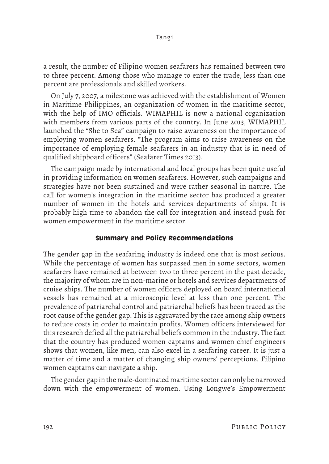a result, the number of Filipino women seafarers has remained between two to three percent. Among those who manage to enter the trade, less than one percent are professionals and skilled workers.

On July 7, 2007, a milestone was achieved with the establishment of Women in Maritime Philippines, an organization of women in the maritime sector, with the help of IMO officials. WIMAPHIL is now a national organization with members from various parts of the country. In June 2013, WIMAPHIL launched the "She to Sea" campaign to raise awareness on the importance of employing women seafarers. "The program aims to raise awareness on the importance of employing female seafarers in an industry that is in need of qualified shipboard officers" (Seafarer Times 2013).

The campaign made by international and local groups has been quite useful in providing information on women seafarers. However, such campaigns and strategies have not been sustained and were rather seasonal in nature. The call for women's integration in the maritime sector has produced a greater number of women in the hotels and services departments of ships. It is probably high time to abandon the call for integration and instead push for women empowerment in the maritime sector.

## **Summary and Policy Recommendations**

The gender gap in the seafaring industry is indeed one that is most serious. While the percentage of women has surpassed men in some sectors, women seafarers have remained at between two to three percent in the past decade, the majority of whom are in non-marine or hotels and services departments of cruise ships. The number of women officers deployed on board international vessels has remained at a microscopic level at less than one percent. The prevalence of patriarchal control and patriarchal beliefs has been traced as the root cause of the gender gap. This is aggravated by the race among ship owners to reduce costs in order to maintain profits. Women officers interviewed for this research defied all the patriarchal beliefs common in the industry. The fact that the country has produced women captains and women chief engineers shows that women, like men, can also excel in a seafaring career. It is just a matter of time and a matter of changing ship owners' perceptions. Filipino women captains can navigate a ship.

The gender gap in the male-dominated maritime sector can only be narrowed down with the empowerment of women. Using Longwe's Empowerment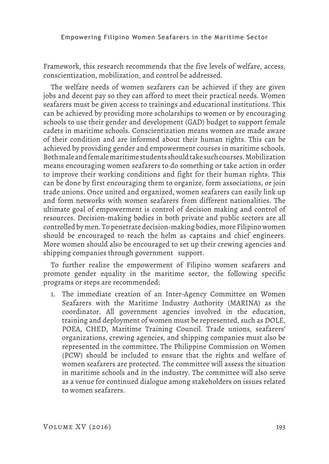Framework, this research recommends that the five levels of welfare, access, conscientization, mobilization, and control be addressed.

The welfare needs of women seafarers can be achieved if they are given jobs and decent pay so they can afford to meet their practical needs. Women seafarers must be given access to trainings and educational institutions. This can be achieved by providing more scholarships to women or by encouraging schools to use their gender and development (GAD) budget to support female cadets in maritime schools. Conscientization means women are made aware of their condition and are informed about their human rights. This can be achieved by providing gender and empowerment courses in maritime schools. Both male and female maritime students should take such courses. Mobilization means encouraging women seafarers to do something or take action in order to improve their working conditions and fight for their human rights. This can be done by first encouraging them to organize, form associations, or join trade unions. Once united and organized, women seafarers can easily link up and form networks with women seafarers from different nationalities. The ultimate goal of empowerment is control of decision making and control of resources. Decision-making bodies in both private and public sectors are all controlled by men. To penetrate decision-making bodies, more Filipino women should be encouraged to reach the helm as captains and chief engineers. More women should also be encouraged to set up their crewing agencies and shipping companies through government support.

To further realize the empowerment of Filipino women seafarers and promote gender equality in the maritime sector, the following specific programs or steps are recommended:

1. The immediate creation of an Inter-Agency Committee on Women Seafarers with the Maritime Industry Authority (MARINA) as the coordinator. All government agencies involved in the education, training and deployment of women must be represented, such as DOLE, POEA, CHED, Maritime Training Council. Trade unions, seafarers' organizations, crewing agencies, and shipping companies must also be represented in the committee. The Philippine Commission on Women (PCW) should be included to ensure that the rights and welfare of women seafarers are protected. The committee will assess the situation in maritime schools and in the industry. The committee will also serve as a venue for continued dialogue among stakeholders on issues related to women seafarers.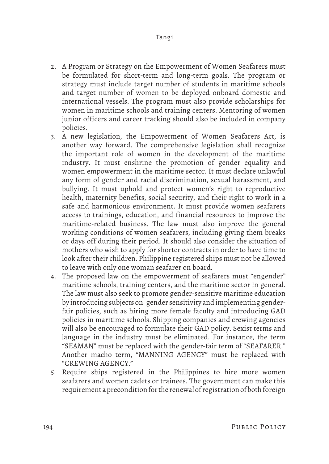- 2. A Program or Strategy on the Empowerment of Women Seafarers must be formulated for short-term and long-term goals. The program or strategy must include target number of students in maritime schools and target number of women to be deployed onboard domestic and international vessels. The program must also provide scholarships for women in maritime schools and training centers. Mentoring of women junior officers and career tracking should also be included in company policies.
- 3. A new legislation, the Empowerment of Women Seafarers Act, is another way forward. The comprehensive legislation shall recognize the important role of women in the development of the maritime industry. It must enshrine the promotion of gender equality and women empowerment in the maritime sector. It must declare unlawful any form of gender and racial discrimination, sexual harassment, and bullying. It must uphold and protect women's right to reproductive health, maternity benefits, social security, and their right to work in a safe and harmonious environment. It must provide women seafarers access to trainings, education, and financial resources to improve the maritime-related business. The law must also improve the general working conditions of women seafarers, including giving them breaks or days off during their period. It should also consider the situation of mothers who wish to apply for shorter contracts in order to have time to look after their children. Philippine registered ships must not be allowed to leave with only one woman seafarer on board.
- 4. The proposed law on the empowerment of seafarers must "engender" maritime schools, training centers, and the maritime sector in general. The law must also seek to promote gender-sensitive maritime education by introducing subjects on gender sensitivity and implementing genderfair policies, such as hiring more female faculty and introducing GAD policies in maritime schools. Shipping companies and crewing agencies will also be encouraged to formulate their GAD policy. Sexist terms and language in the industry must be eliminated. For instance, the term "SEAMAN" must be replaced with the gender-fair term of "SEAFARER." Another macho term, "MANNING AGENCY" must be replaced with "CREWING AGENCY."
- 5. Require ships registered in the Philippines to hire more women seafarers and women cadets or trainees. The government can make this requirement a precondition for the renewal of registration of both foreign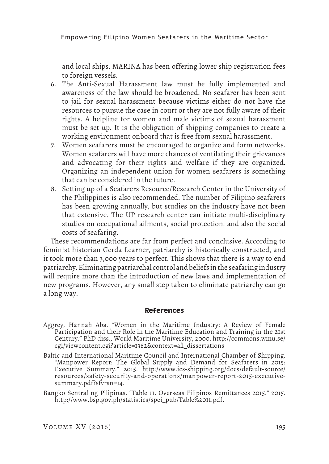and local ships. MARINA has been offering lower ship registration fees to foreign vessels.

- 6. The Anti-Sexual Harassment law must be fully implemented and awareness of the law should be broadened. No seafarer has been sent to jail for sexual harassment because victims either do not have the resources to pursue the case in court or they are not fully aware of their rights. A helpline for women and male victims of sexual harassment must be set up. It is the obligation of shipping companies to create a working environment onboard that is free from sexual harassment.
- 7. Women seafarers must be encouraged to organize and form networks. Women seafarers will have more chances of ventilating their grievances and advocating for their rights and welfare if they are organized. Organizing an independent union for women seafarers is something that can be considered in the future.
- 8. Setting up of a Seafarers Resource/Research Center in the University of the Philippines is also recommended. The number of Filipino seafarers has been growing annually, but studies on the industry have not been that extensive. The UP research center can initiate multi-disciplinary studies on occupational ailments, social protection, and also the social costs of seafaring.

These recommendations are far from perfect and conclusive. According to feminist historian Gerda Learner, patriarchy is historically constructed, and it took more than 3,000 years to perfect. This shows that there is a way to end patriarchy. Eliminating patriarchal control and beliefs in the seafaring industry will require more than the introduction of new laws and implementation of new programs. However, any small step taken to eliminate patriarchy can go a long way.

#### **References**

- Aggrey, Hannah Aba. "Women in the Maritime Industry: A Review of Female Participation and their Role in the Maritime Education and Training in the 21st Century." PhD diss., World Maritime University, 2000. http://commons.wmu.se/ cgi/viewcontent.cgi?article=1382&context=all\_dissertations
- Baltic and International Maritime Council and International Chamber of Shipping. "Manpower Report: The Global Supply and Demand for Seafarers in 2015: Executive Summary." 2015. http://www.ics-shipping.org/docs/default-source/ resources/safety-security-and-operations/manpower-report-2015-executivesummary.pdf?sfvrsn=14.
- Bangko Sentral ng Pilipinas. "Table 11. Overseas Filipinos Remittances 2015." 2015. http://www.bsp.gov.ph/statistics/spei\_pub/Table%2011.pdf.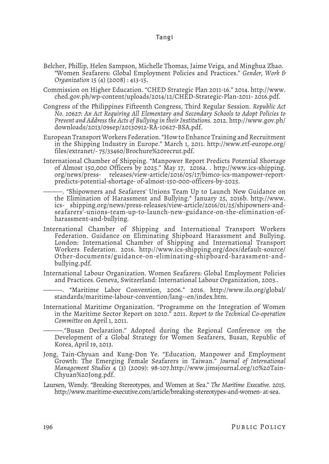- Belcher, Phillip, Helen Sampson, Michelle Thomas, Jaime Veiga, and Minghua Zhao. "Women Seafarers: Global Employment Policies and Practices." *Gender, Work & Organization* 15 (4) (2008) : 413-15.
- Commission on Higher Education. "CHED Strategic Plan 2011-16." 2014. http://www. ched.gov.ph/wp-content/uploads/2014/12/CHED-Strategic-Plan-2011- 2016.pdf.
- Congress of the Philippines Fifteenth Congress, Third Regular Session. *Republic Act No. 10627: An Act Requiring All Elementary and Secondary Schools to Adopt Policies to Prevent and Address the Acts of Bullying in their Institutions.* 2012. http://www.gov.ph/ downloads/2013/09sep/20130912-RA-10627-BSA.pdf.
- European Transport Workers Federation. "How to Enhance Training and Recruitment in the Shipping Industry in Europe." March 1, 2011. http://www.etf-europe.org/ files/extranet/- 75/33460/Brochure%20recrut.pdf.
- International Chamber of Shipping. "Manpower Report Predicts Potential Shortage of Almost 150,000 Officers by 2025." May 17, 2016a. . http://www.ics-shipping. org/news/press- releases/view-article/2016/05/17/bimco-ics-manpower-reportpredicts-potential-shortage- of-almost-150-000-officers-by-2025.
	- ———. "Shipowners and Seafarers' Unions Team Up to Launch New Guidance on the Elimination of Harassment and Bullying." January 25, 2016b. http://www. ics- shipping.org/news/press-releases/view-article/2016/01/25/shipowners-andseafarers'-unions-team-up-to-launch-new-guidance-on-the-elimination-ofharassment-and-bullying.
- International Chamber of Shipping and International Transport Workers Federation. Guidance on Eliminating Shipboard Harassment and Bullying. London: International Chamber of Shipping and International Transport Workers Federation. 2016. http://www.ics-shipping.org/docs/default-source/ Other-documents/guidance-on-eliminating-shipboard-harassment-andbullying.pdf.
- International Labour Organization. Women Seafarers: Global Employment Policies and Practices. Geneva, Switzerland: International Labour Organization, 2003..
- ———. "Maritime Labor Convention, 2006." 2016. http://www.ilo.org/global/ standards/maritime-labour-convention/lang--en/index.htm.
- International Maritime Organization. "Programme on the Integration of Women in the Maritime Sector Report on 2010." 2011. *Report to the Technical Co-operation Committee* on April 1, 2011.

———."Busan Declaration." Adopted during the Regional Conference on the Development of a Global Strategy for Women Seafarers, Busan, Republic of Korea, April 19, 2013.

- Jong, Tain-Chyuan and Kung-Don Ye. "Education, Manpower and Employment Growth: The Emerging Female Seafarers in Taiwan." *Journal of International Management Studies* 4 (3) (2009): 98-107.http://www.jimsjournal.org/10%20Tain-Chyuan%20Jong.pdf.
- Laursen, Wendy. "Breaking Stereotypes, and Women at Sea." *The Maritime Executive*. 2015. http://www.maritime-executive.com/article/breaking-stereotypes-and-women- at-sea.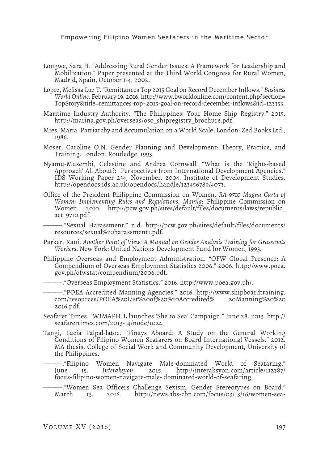- Longwe, Sara H. "Addressing Rural Gender Issues: A Framework for Leadership and Mobilization." Paper presented at the Third World Congress for Rural Women, Madrid, Spain, October 1-4. 2002.
- Lopez, Melissa Luz T. "Remittances Top 2015 Goal on Record December Inflows." *Business World Online*. February 19. 2016. http://www.bworldonline.com/content.php?section= TopStory&title=remittances-top- 2015-goal-on-record-december-inflows&id=123353.
- Maritime Industry Authority. "The Philippines: Your Home Ship Registry." 2015. http://marina.gov.ph/overseas/oso\_shipregistry\_brochure.pdf.
- Mies, Maria. Patriarchy and Accumulation on a World Scale. London: Zed Books Ltd., 1986.
- Moser, Caroline O.N. Gender Planning and Development: Theory, Practice, and Training. London: Routledge, 1993.
- Nyamu-Musembi, Celestine and Andrea Cornwall. "What is the 'Rights-based Approach' All About?: Perspectives from International Development Agencies." IDS Working Paper 234, November. 2004. Institute of Development Studies. http://opendocs.ids.ac.uk/opendocs/handle/123456789/4073.
- Office of the President Philippine Commission on Women. *RA 9710 Magna Carta of Women: Implementing Rules and Regulations. Manila*: Philippine Commission on Women. 2010. http://pcw.gov.ph/sites/default/files/documents/laws/republic\_ act\_9710.pdf.

———."Sexual Harassment." n.d. http://pcw.gov.ph/sites/default/files/documents/ resources/sexual%20harassment1.pdf.

- Parker, Rani. *Another Point of View: A Manual on Gender Analysis Training for Grassroots Workers*. New York: United Nations Development Fund for Women, 1993.
- Philippine Overseas and Employment Administration. "OFW Global Presence: A Compendium of Overseas Employment Statistics 2006." 2006. http://www.poea. gov.ph/ofwstat/compendium/2006.pdf.

———."Overseas Employment Statistics." 2016. http://www.poea.gov.ph/.

———."POEA Accredited Manning Agencies." 2016. http://www.shipboardtraining. com/resources/POEA%20List%20of%20%20Accredited% 20Manning%20%20 2016.pdf.

- Seafarer Times. "WIMAPHIL launches 'She to Sea' Campaign." June 28. 2013. http:// seafarertimes.com/2013-14/node/1024.
- Tangi, Lucia Palpal-latoc. "Pinays Aboard: A Study on the General Working Conditions of Filipino Women Seafarers on Board International Vessels." 2012. MA thesis, College of Social Work and Community Development, University of the Philippines.

—."Filipino Women Navigate Male-dominated World of Seafaring."<br>une 15. *Interaksyon.* 2015. http://interaksyon.com/article/112387/ June 15. *Interaksyon*. 2015. http://interaksyon.com/article/112387/ focus-filipino-women-navigate-male- dominated-world-of-seafaring,

—."Women Sea Officers Challenge Sexism, Gender Stereotypes on Board."<br>March 13. 2016. http://news.abs-cbn.com/focus/03/13/16/women-sea-2016. http://news.abs-cbn.com/focus/03/13/16/women-sea